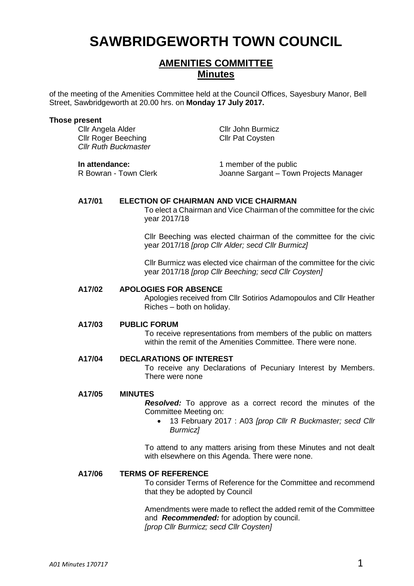# **SAWBRIDGEWORTH TOWN COUNCIL**

# **AMENITIES COMMITTEE Minutes**

of the meeting of the Amenities Committee held at the Council Offices, Sayesbury Manor, Bell Street, Sawbridgeworth at 20.00 hrs. on **Monday 17 July 2017.**

#### **Those present**

Cllr Angela Alder Cllr John Burmicz Cllr Roger Beeching Cllr Pat Coysten *Cllr Ruth Buckmaster*

**In attendance:** 1 member of the public<br>R Bowran - Town Clerk **1** Joanne Sargant – Town Joanne Sargant – Town Projects Manager

### **A17/01 ELECTION OF CHAIRMAN AND VICE CHAIRMAN**

To elect a Chairman and Vice Chairman of the committee for the civic year 2017/18

Cllr Beeching was elected chairman of the committee for the civic year 2017/18 *[prop Cllr Alder; secd Cllr Burmicz]*

Cllr Burmicz was elected vice chairman of the committee for the civic year 2017/18 *[prop Cllr Beeching; secd Cllr Coysten]*

#### **A17/02 APOLOGIES FOR ABSENCE**

Apologies received from Cllr Sotirios Adamopoulos and Cllr Heather Riches – both on holiday.

#### **A17/03 PUBLIC FORUM**

To receive representations from members of the public on matters within the remit of the Amenities Committee. There were none.

#### **A17/04 DECLARATIONS OF INTEREST**

To receive any Declarations of Pecuniary Interest by Members. There were none

#### **A17/05 MINUTES**

*Resolved:* To approve as a correct record the minutes of the Committee Meeting on:

 13 February 2017 : A03 *[prop Cllr R Buckmaster; secd Cllr Burmicz]*

To attend to any matters arising from these Minutes and not dealt with elsewhere on this Agenda. There were none.

#### **A17/06 TERMS OF REFERENCE**

To consider Terms of Reference for the Committee and recommend that they be adopted by Council

Amendments were made to reflect the added remit of the Committee and *Recommended:* for adoption by council. *[prop Cllr Burmicz; secd Cllr Coysten]*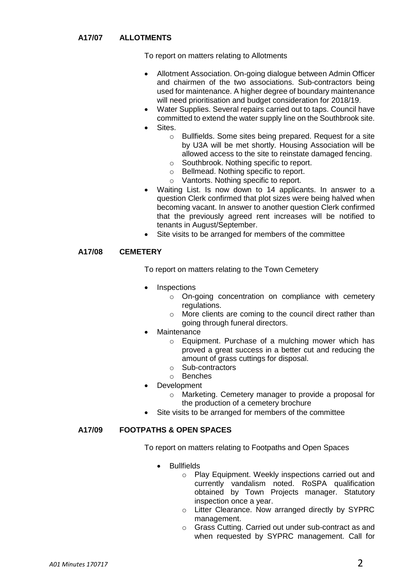# **A17/07 ALLOTMENTS**

To report on matters relating to Allotments

- Allotment Association. On-going dialogue between Admin Officer and chairmen of the two associations. Sub-contractors being used for maintenance. A higher degree of boundary maintenance will need prioritisation and budget consideration for 2018/19.
- Water Supplies. Several repairs carried out to taps. Council have committed to extend the water supply line on the Southbrook site.
- **Sites** 
	- o Bullfields. Some sites being prepared. Request for a site by U3A will be met shortly. Housing Association will be allowed access to the site to reinstate damaged fencing.
	- o Southbrook. Nothing specific to report.
	- o Bellmead. Nothing specific to report.
	- o Vantorts. Nothing specific to report.
- Waiting List. Is now down to 14 applicants. In answer to a question Clerk confirmed that plot sizes were being halved when becoming vacant. In answer to another question Clerk confirmed that the previously agreed rent increases will be notified to tenants in August/September.
- Site visits to be arranged for members of the committee

#### **A17/08 CEMETERY**

To report on matters relating to the Town Cemetery

- Inspections
	- o On-going concentration on compliance with cemetery regulations.
	- o More clients are coming to the council direct rather than going through funeral directors.
- **Maintenance** 
	- o Equipment. Purchase of a mulching mower which has proved a great success in a better cut and reducing the amount of grass cuttings for disposal.
	- o Sub-contractors
	- o Benches
- Development
	- o Marketing. Cemetery manager to provide a proposal for the production of a cemetery brochure
- Site visits to be arranged for members of the committee

# **A17/09 FOOTPATHS & OPEN SPACES**

To report on matters relating to Footpaths and Open Spaces

- Bullfields
	- o Play Equipment. Weekly inspections carried out and currently vandalism noted. RoSPA qualification obtained by Town Projects manager. Statutory inspection once a year.
	- o Litter Clearance. Now arranged directly by SYPRC management.
	- o Grass Cutting. Carried out under sub-contract as and when requested by SYPRC management. Call for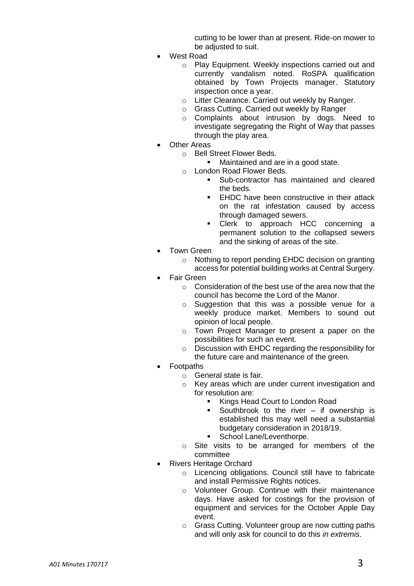cutting to be lower than at present. Ride-on mower to be adjusted to suit.

- West Road
	- o Play Equipment. Weekly inspections carried out and currently vandalism noted. RoSPA qualification obtained by Town Projects manager. Statutory inspection once a year.
	- o Litter Clearance. Carried out weekly by Ranger.
	- o Grass Cutting. Carried out weekly by Ranger
	- o Complaints about intrusion by dogs. Need to investigate segregating the Right of Way that passes through the play area.
- Other Areas
	- o Bell Street Flower Beds.
		- Maintained and are in a good state.
	- o London Road Flower Beds.
		- Sub-contractor has maintained and cleared the beds.
		- **EHDC** have been constructive in their attack on the rat infestation caused by access through damaged sewers.
		- **•** Clerk to approach HCC concerning a permanent solution to the collapsed sewers and the sinking of areas of the site.
- Town Green
	- o Nothing to report pending EHDC decision on granting access for potential building works at Central Surgery.
- Fair Green
	- $\circ$  Consideration of the best use of the area now that the council has become the Lord of the Manor.
	- o Suggestion that this was a possible venue for a weekly produce market. Members to sound out opinion of local people.
	- o Town Project Manager to present a paper on the possibilities for such an event.
	- o Discussion with EHDC regarding the responsibility for the future care and maintenance of the green.
- Footpaths
	- o General state is fair.
	- o Key areas which are under current investigation and for resolution are:
		- Kings Head Court to London Road
		- Southbrook to the river if ownership is established this may well need a substantial budgetary consideration in 2018/19.
		- School Lane/Leventhorpe.
	- o Site visits to be arranged for members of the committee
- Rivers Heritage Orchard
	- o Licencing obligations. Council still have to fabricate and install Permissive Rights notices.
	- o Volunteer Group. Continue with their maintenance days. Have asked for costings for the provision of equipment and services for the October Apple Day event.
	- o Grass Cutting. Volunteer group are now cutting paths and will only ask for council to do this *in extremis*.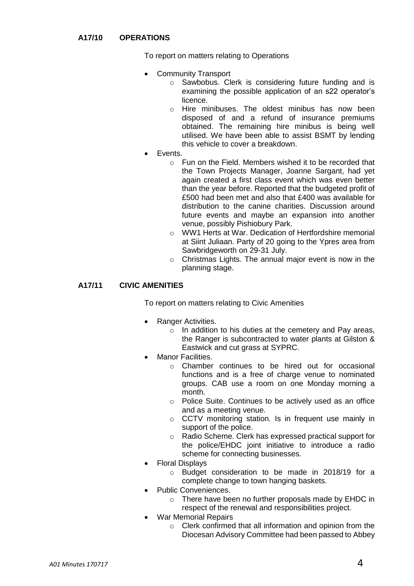# **A17/10 OPERATIONS**

To report on matters relating to Operations

- Community Transport
	- o Sawbobus. Clerk is considering future funding and is examining the possible application of an s22 operator's licence.
	- o Hire minibuses. The oldest minibus has now been disposed of and a refund of insurance premiums obtained. The remaining hire minibus is being well utilised. We have been able to assist BSMT by lending this vehicle to cover a breakdown.
- Events.
	- o Fun on the Field. Members wished it to be recorded that the Town Projects Manager, Joanne Sargant, had yet again created a first class event which was even better than the year before. Reported that the budgeted profit of £500 had been met and also that £400 was available for distribution to the canine charities. Discussion around future events and maybe an expansion into another venue, possibly Pishiobury Park.
	- o WW1 Herts at War. Dedication of Hertfordshire memorial at Siint Juliaan. Party of 20 going to the Ypres area from Sawbridgeworth on 29-31 July.
	- o Christmas Lights. The annual major event is now in the planning stage.

# **A17/11 CIVIC AMENITIES**

To report on matters relating to Civic Amenities

- Ranger Activities.
	- o In addition to his duties at the cemetery and Pay areas, the Ranger is subcontracted to water plants at Gilston & Eastwick and cut grass at SYPRC.
- Manor Facilities.
	- o Chamber continues to be hired out for occasional functions and is a free of charge venue to nominated groups. CAB use a room on one Monday morning a month.
	- o Police Suite. Continues to be actively used as an office and as a meeting venue.
	- o CCTV monitoring station. Is in frequent use mainly in support of the police.
	- o Radio Scheme. Clerk has expressed practical support for the police/EHDC joint initiative to introduce a radio scheme for connecting businesses.
- Floral Displays
	- o Budget consideration to be made in 2018/19 for a complete change to town hanging baskets.
- Public Conveniences.
	- o There have been no further proposals made by EHDC in respect of the renewal and responsibilities project.
- War Memorial Repairs
	- o Clerk confirmed that all information and opinion from the Diocesan Advisory Committee had been passed to Abbey